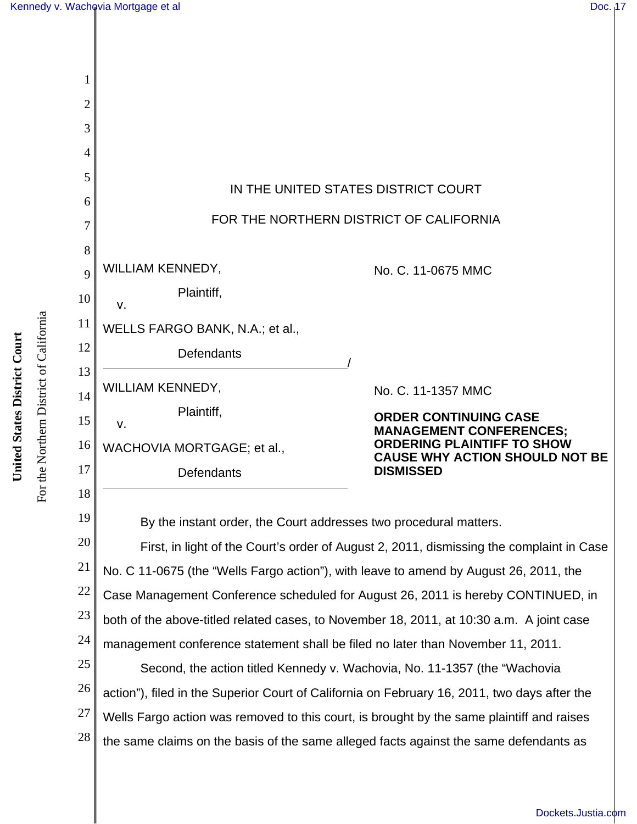

28 the same claims on the basis of the same alleged facts against the same defendants as

For the Northern District of California **United States District Court** United States District Court

For the Northern District of California